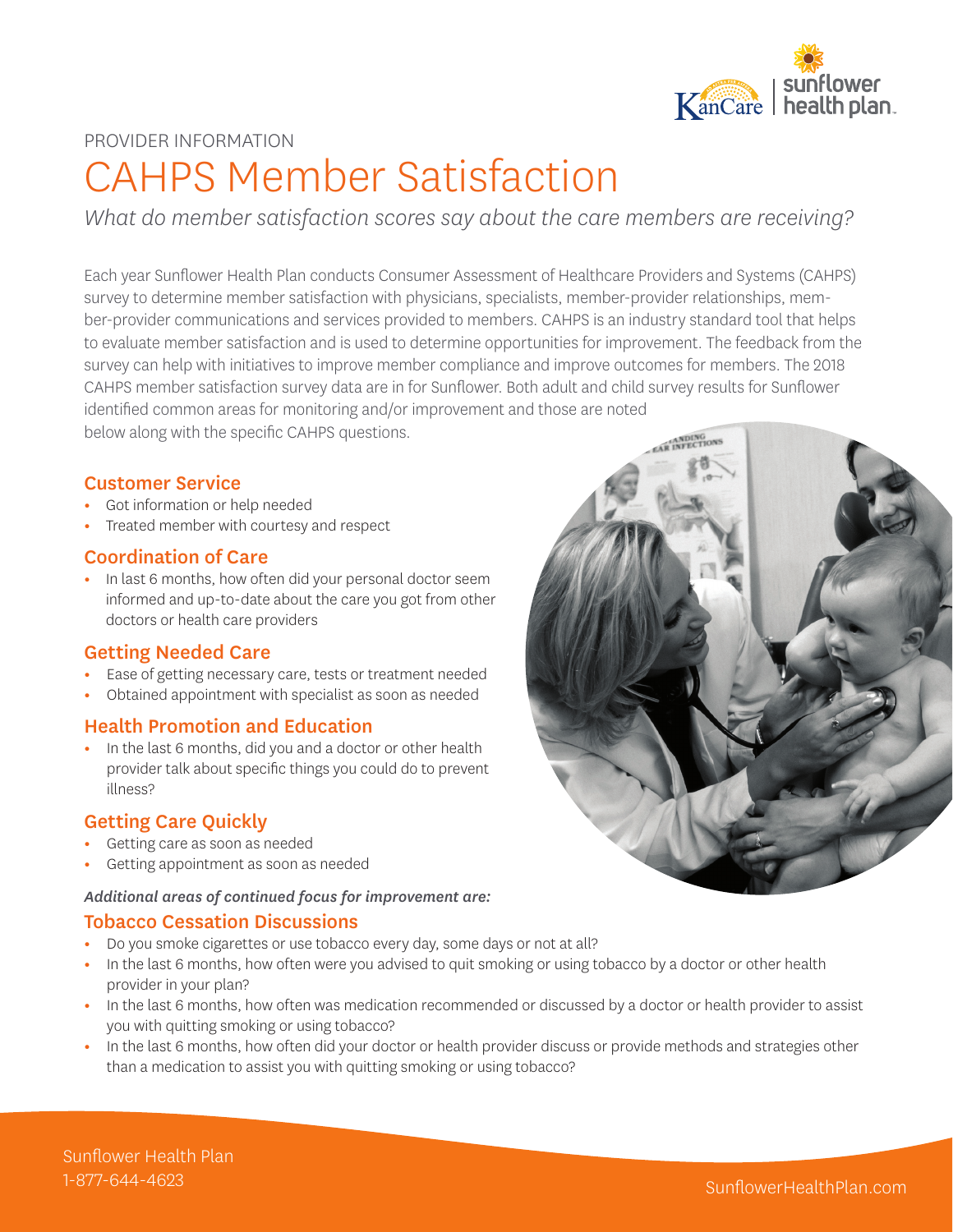

#### PROVIDER INFORMATION

# CAHPS Member Satisfaction

*What do member satisfaction scores say about the care members are receiving?*

Each year Sunflower Health Plan conducts Consumer Assessment of Healthcare Providers and Systems (CAHPS) survey to determine member satisfaction with physicians, specialists, member-provider relationships, member-provider communications and services provided to members. CAHPS is an industry standard tool that helps to evaluate member satisfaction and is used to determine opportunities for improvement. The feedback from the survey can help with initiatives to improve member compliance and improve outcomes for members. The 2018 CAHPS member satisfaction survey data are in for Sunflower. Both adult and child survey results for Sunflower identified common areas for monitoring and/or improvement and those are noted

below along with the specific CAHPS questions.

#### Customer Service

- **•** Got information or help needed
- **•** Treated member with courtesy and respect

#### Coordination of Care

**•** In last 6 months, how often did your personal doctor seem informed and up-to-date about the care you got from other doctors or health care providers

#### Getting Needed Care

- **•** Ease of getting necessary care, tests or treatment needed
- **•** Obtained appointment with specialist as soon as needed

#### Health Promotion and Education

**•** In the last 6 months, did you and a doctor or other health provider talk about specific things you could do to prevent illness?

#### Getting Care Quickly

- **•** Getting care as soon as needed
- **•** Getting appointment as soon as needed

#### *Additional areas of continued focus for improvement are:*

#### Tobacco Cessation Discussions

- **•** Do you smoke cigarettes or use tobacco every day, some days or not at all?
- **•** In the last 6 months, how often were you advised to quit smoking or using tobacco by a doctor or other health provider in your plan?
- **•** In the last 6 months, how often was medication recommended or discussed by a doctor or health provider to assist you with quitting smoking or using tobacco?
- **•** In the last 6 months, how often did your doctor or health provider discuss or provide methods and strategies other than a medication to assist you with quitting smoking or using tobacco?



Sunflower Health Plan 1-877-644-4623 SunflowerHealthPlan.com